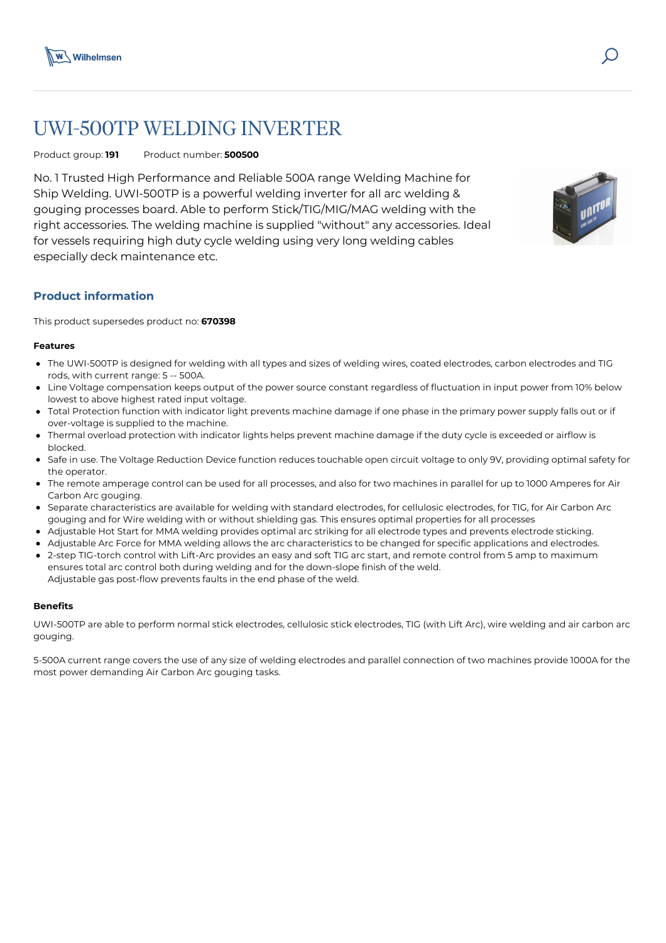

# UWI-500TP WELDING INVERTER

# Product group: **191** Product number: **500500**

No. 1 Trusted High Performance and Reliable 500A range Welding Machine for Ship Welding. UWI-500TP is a powerful welding inverter for all arc welding & gouging processes board. Able to perform Stick/TIG/MIG/MAG welding with the right accessories. The welding machine is supplied "without" any accessories. Ideal for vessels requiring high duty cycle welding using very long welding cables especially deck maintenance etc.



# **Product information**

This product supersedes product no: **670398**

#### **Features**

- The UWI-500TP is designed for welding with all types and sizes of welding wires, coated electrodes, carbon electrodes and TIG rods, with current range: 5 -- 500A.
- Line Voltage compensation keeps output of the power source constant regardless of fluctuation in input power from 10% below lowest to above highest rated input voltage.
- Total Protection function with indicator light prevents machine damage if one phase in the primary power supply falls out or if over-voltage is supplied to the machine.
- Thermal overload protection with indicator lights helps prevent machine damage if the duty cycle is exceeded or airflow is blocked.
- Safe in use. The Voltage Reduction Device function reduces touchable open circuit voltage to only 9V, providing optimal safety for the operator.
- The remote amperage control can be used for all processes, and also for two machines in parallel for up to 1000 Amperes for Air Carbon Arc gouging.
- Separate characteristics are available for welding with standard electrodes, for cellulosic electrodes, for TIG, for Air Carbon Arc gouging and for Wire welding with or without shielding gas. This ensures optimal properties for all processes
- Adjustable Hot Start for MMA welding provides optimal arc striking for all electrode types and prevents electrode sticking.
- Adjustable Arc Force for MMA welding allows the arc characteristics to be changed for specific applications and electrodes.
- 2-step TIG-torch control with Lift-Arc provides an easy and soft TIG arc start, and remote control from 5 amp to maximum ensures total arc control both during welding and for the down-slope finish of the weld. Adjustable gas post-flow prevents faults in the end phase of the weld.

#### **Benefits**

UWI-500TP are able to perform normal stick electrodes, cellulosic stick electrodes, TIG (with Lift Arc), wire welding and air carbon arc gouging.

5-500A current range covers the use of any size of welding electrodes and parallel connection of two machines provide 1000A for the most power demanding Air Carbon Arc gouging tasks.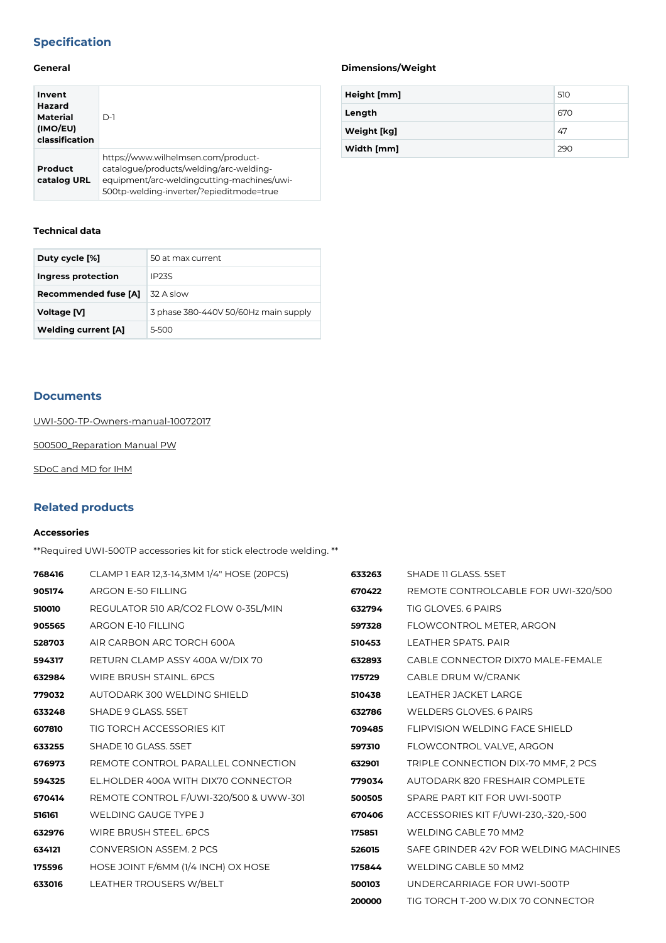# **Specification**

# **General**

| Invent<br>Hazard<br><b>Material</b><br>(IMO/EU)<br>classification | $D-1$                                                                                                                                                                    |
|-------------------------------------------------------------------|--------------------------------------------------------------------------------------------------------------------------------------------------------------------------|
| Product<br>catalog URL                                            | https://www.wilhelmsen.com/product-<br>catalogue/products/welding/arc-welding-<br>equipment/arc-weldingcutting-machines/uwi-<br>500tp-welding-inverter/?epieditmode=true |

### **Technical data**

| Duty cycle [%]              | 50 at max current                    |
|-----------------------------|--------------------------------------|
| Ingress protection          | IP <sub>23</sub> S                   |
| <b>Recommended fuse [A]</b> | 32 A slow                            |
| Voltage [V]                 | 3 phase 380-440V 50/60Hz main supply |
| <b>Welding current [A]</b>  | 5-500                                |

#### **Documents**

[UWI-500-TP-Owners-manual-10072017](https://media.bluestonepim.com/e4deb258-8122-4fdf-9d12-b42f3e0e812d/4a17ebbc-a614-4f3f-839b-50367ea246e9/XKLEX9lxUtM79YRxgDZ4Sf4QJ/IemxyfXnSfD9dOR3aYr7tSZAA.pdf)

[500500\\_Reparation Manual PW](https://media.bluestonepim.com/e4deb258-8122-4fdf-9d12-b42f3e0e812d/e8961f5b-70da-406b-9376-5746376f0c54/tImwHt7YsjctWcwzTSxsSSeR9/MJpxBmWLMz3nDzUfVCibRWMpp.pdf)

[SDoC and MD for IHM](https://media.bluestonepim.com/e4deb258-8122-4fdf-9d12-b42f3e0e812d/a84e6233-bc08-4fe5-898e-3fae31f772eb/BwDqAPs7S93rpJPfySCOtg50w/Sp5jF6ie1plWmGsSHIf5rR8fG.pdf)

# **Related products**

#### **Accessories**

\*\*Required UWI-500TP accessories kit for stick electrode welding. \*\*

| 768416 | CLAMP 1 EAR 12,3-14,3MM 1/4" HOSE (20PCS) | 633263 | SHADE 11 GLASS, 5SET                  |
|--------|-------------------------------------------|--------|---------------------------------------|
| 905174 | ARGON E-50 FILLING                        | 670422 | REMOTE CONTROLCABLE FOR UWI-320/500   |
| 510010 | REGULATOR 510 AR/CO2 FLOW 0-35L/MIN       | 632794 | TIG GLOVES, 6 PAIRS                   |
| 905565 | <b>ARGON E-10 FILLING</b>                 | 597328 | FLOWCONTROL METER, ARGON              |
| 528703 | AIR CARBON ARC TORCH 600A                 | 510453 | LEATHER SPATS, PAIR                   |
| 594317 | RETURN CLAMP ASSY 400A W/DIX 70           | 632893 | CABLE CONNECTOR DIX70 MALE-FEMALE     |
| 632984 | <b>WIRE BRUSH STAINL, 6PCS</b>            | 175729 | CABLE DRUM W/CRANK                    |
| 779032 | AUTODARK 300 WELDING SHIELD               | 510438 | LEATHER JACKET LARGE                  |
| 633248 | SHADE 9 GLASS, 5SET                       | 632786 | <b>WELDERS GLOVES, 6 PAIRS</b>        |
| 607810 | TIG TORCH ACCESSORIES KIT                 | 709485 | <b>FLIPVISION WELDING FACE SHIELD</b> |
| 633255 | SHADE 10 GLASS, 5SET                      | 597310 | FLOWCONTROL VALVE, ARGON              |
| 676973 | REMOTE CONTROL PARALLEL CONNECTION        | 632901 | TRIPLE CONNECTION DIX-70 MMF, 2 PCS   |
| 594325 | EL.HOLDER 400A WITH DIX70 CONNECTOR       | 779034 | AUTODARK 820 FRESHAIR COMPLETE        |
| 670414 | REMOTE CONTROL F/UWI-320/500 & UWW-301    | 500505 | SPARE PART KIT FOR UWI-500TP          |
| 516161 | <b>WELDING GAUGE TYPE J</b>               | 670406 | ACCESSORIES KIT F/UWI-230,-320,-500   |
| 632976 | WIRE BRUSH STEEL. 6PCS                    | 175851 | WELDING CABLE 70 MM2                  |
| 634121 | CONVERSION ASSEM. 2 PCS                   | 526015 | SAFE GRINDER 42V FOR WELDING MACHINES |
| 175596 | HOSE JOINT F/6MM (1/4 INCH) OX HOSE       | 175844 | <b>WELDING CABLE 50 MM2</b>           |
| 633016 | LEATHER TROUSERS W/BELT                   | 500103 | UNDERCARRIAGE FOR UWI-500TP           |
|        |                                           | 200000 | TIG TORCH T-200 W.DIX 70 CONNECTOR    |

# **Dimensions/Weight**

| Height [mm] | 510 |
|-------------|-----|
| Length      | 670 |
| Weight [kg] | 47  |
| Width [mm]  | 290 |